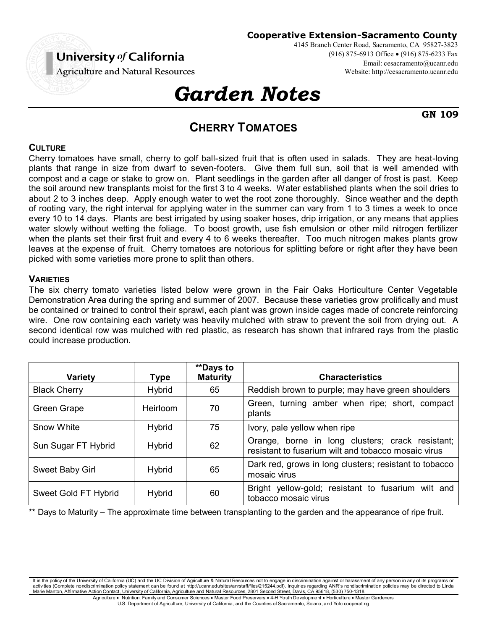# University of California

**Agriculture and Natural Resources** 

# *Garden Notes*

**GN 109**

**Cooperative Extension-Sacramento County**

4145 Branch Center Road, Sacramento, CA 95827-3823

(916) 875-6913 Office (916) 875-6233 Fax

Email: cesacramento@ucanr.edu Website: http://cesacramento.ucanr.edu

# **CHERRY TOMATOES**

## **CULTURE**

Cherry tomatoes have small, cherry to golf ball-sized fruit that is often used in salads. They are heat-loving plants that range in size from dwarf to seven-footers. Give them full sun, soil that is well amended with compost and a cage or stake to grow on. Plant seedlings in the garden after all danger of frost is past. Keep the soil around new transplants moist for the first 3 to 4 weeks. Water established plants when the soil dries to about 2 to 3 inches deep. Apply enough water to wet the root zone thoroughly. Since weather and the depth of rooting vary, the right interval for applying water in the summer can vary from 1 to 3 times a week to once every 10 to 14 days. Plants are best irrigated by using soaker hoses, drip irrigation, or any means that applies water slowly without wetting the foliage. To boost growth, use fish emulsion or other mild nitrogen fertilizer when the plants set their first fruit and every 4 to 6 weeks thereafter. Too much nitrogen makes plants grow leaves at the expense of fruit. Cherry tomatoes are notorious for splitting before or right after they have been picked with some varieties more prone to split than others.

#### **VARIETIES**

The six cherry tomato varieties listed below were grown in the Fair Oaks Horticulture Center Vegetable Demonstration Area during the spring and summer of 2007. Because these varieties grow prolifically and must be contained or trained to control their sprawl, each plant was grown inside cages made of concrete reinforcing wire. One row containing each variety was heavily mulched with straw to prevent the soil from drying out. A second identical row was mulched with red plastic, as research has shown that infrared rays from the plastic could increase production.

| <b>Variety</b>       | <b>Type</b>     | <b>**Days to</b><br><b>Maturity</b> | <b>Characteristics</b>                                                                                  |
|----------------------|-----------------|-------------------------------------|---------------------------------------------------------------------------------------------------------|
| <b>Black Cherry</b>  | <b>Hybrid</b>   | 65                                  | Reddish brown to purple; may have green shoulders                                                       |
| Green Grape          | <b>Heirloom</b> | 70                                  | Green, turning amber when ripe; short, compact<br>plants                                                |
| Snow White           | <b>Hybrid</b>   | 75                                  | Ivory, pale yellow when ripe                                                                            |
| Sun Sugar FT Hybrid  | <b>Hybrid</b>   | 62                                  | Orange, borne in long clusters; crack resistant;<br>resistant to fusarium wilt and tobacco mosaic virus |
| Sweet Baby Girl      | <b>Hybrid</b>   | 65                                  | Dark red, grows in long clusters; resistant to tobacco<br>mosaic virus                                  |
| Sweet Gold FT Hybrid | <b>Hybrid</b>   | 60                                  | Bright yellow-gold; resistant to fusarium wilt and<br>tobacco mosaic virus                              |

Days to Maturity – The approximate time between transplanting to the garden and the appearance of ripe fruit.

It is the policy of the University of California (UC) and the UC Division of Agriculture & Natural Resources not to engage in discrimination against or harassment of any person in any of its programs or activities (Complete nondiscrimination policy statement can be found at http://ucanr.edu/sites/anrstaff/files/215244.pdf). Inquiries regarding ANR's nondiscrimination policies may be directed to Linda Marie Manton, Affirmative Action Contact, University of California, Agriculture and Natural Resources, 2801 Second Street, Davis, CA 95618, (530) 750-1318. Agriculture . Nutrition, Family and Consumer Sciences . Master Food Preservers . 4-H Youth Development . Horticulture . Master Gardeners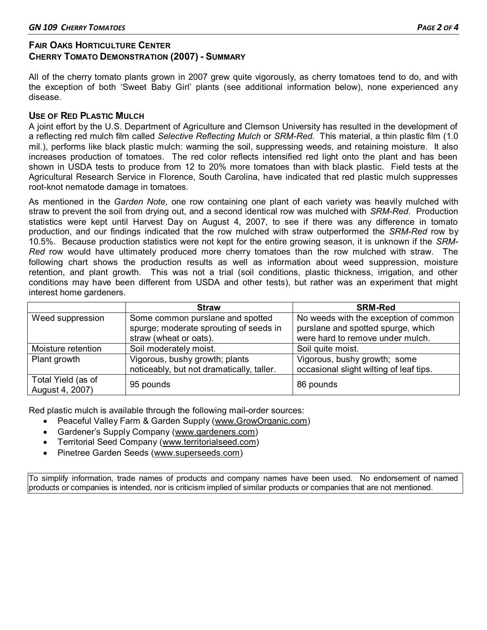## **FAIR OAKS HORTICULTURE CENTER CHERRY TOMATO DEMONSTRATION (2007) - SUMMARY**

All of the cherry tomato plants grown in 2007 grew quite vigorously, as cherry tomatoes tend to do, and with the exception of both 'Sweet Baby Girl' plants (see additional information below), none experienced any disease.

### **USE OF RED PLASTIC MULCH**

A joint effort by the U.S. Department of Agriculture and Clemson University has resulted in the development of a reflecting red mulch film called *Selective Reflecting Mulch* or *SRM-Red*. This material, a thin plastic film (1.0 mil.), performs like black plastic mulch: warming the soil, suppressing weeds, and retaining moisture. It also increases production of tomatoes. The red color reflects intensified red light onto the plant and has been shown in USDA tests to produce from 12 to 20% more tomatoes than with black plastic. Field tests at the Agricultural Research Service in Florence, South Carolina, have indicated that red plastic mulch suppresses root-knot nematode damage in tomatoes.

As mentioned in the *Garden Note*, one row containing one plant of each variety was heavily mulched with straw to prevent the soil from drying out, and a second identical row was mulched with *SRM-Red*. Production statistics were kept until Harvest Day on August 4, 2007, to see if there was any difference in tomato production, and our findings indicated that the row mulched with straw outperformed the *SRM-Red* row by 10.5%. Because production statistics were not kept for the entire growing season, it is unknown if the *SRM-Red* row would have ultimately produced more cherry tomatoes than the row mulched with straw. The following chart shows the production results as well as information about weed suppression, moisture retention, and plant growth. This was not a trial (soil conditions, plastic thickness, irrigation, and other conditions may have been different from USDA and other tests), but rather was an experiment that might interest home gardeners.

|                                       | <b>Straw</b>                              | <b>SRM-Red</b>                          |
|---------------------------------------|-------------------------------------------|-----------------------------------------|
| Weed suppression                      | Some common purslane and spotted          | No weeds with the exception of common   |
|                                       | spurge; moderate sprouting of seeds in    | purslane and spotted spurge, which      |
|                                       | straw (wheat or oats).                    | were hard to remove under mulch.        |
| Moisture retention                    | Soil moderately moist.                    | Soil quite moist.                       |
| Plant growth                          | Vigorous, bushy growth; plants            | Vigorous, bushy growth; some            |
|                                       | noticeably, but not dramatically, taller. | occasional slight wilting of leaf tips. |
| Total Yield (as of<br>August 4, 2007) | 95 pounds                                 | 86 pounds                               |

Red plastic mulch is available through the following mail-order sources:

- Peaceful Valley Farm & Garden Supply [\(www.GrowOrganic.com\)](http://www.groworganic.com/)
- Gardener's Supply Company ([www.gardeners.com\)](http://www.gardeners.com/)
- Territorial Seed Company [\(www.territorialseed.com\)](http://www.territorialseed.com/)
- Pinetree Garden Seeds [\(www.superseeds.com\)](http://www.superseeds.com/)

To simplify information, trade names of products and company names have been used. No endorsement of named products or companies is intended, nor is criticism implied of similar products or companies that are not mentioned.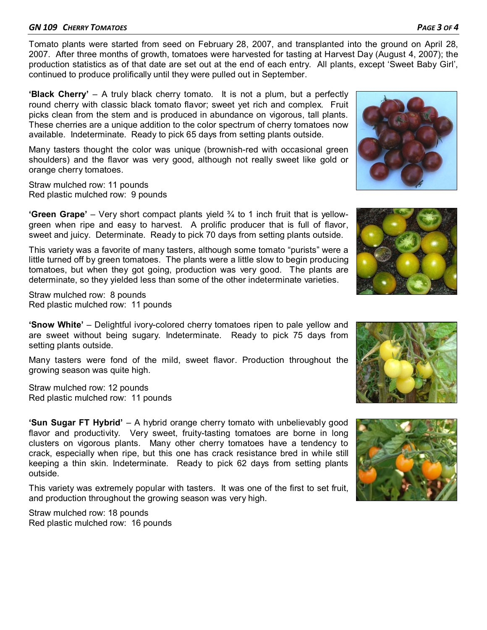#### *GN 109 CHERRY TOMATOES PAGE 3 OF 4*

Tomato plants were started from seed on February 28, 2007, and transplanted into the ground on April 28, 2007. After three months of growth, tomatoes were harvested for tasting at Harvest Day (August 4, 2007); the production statistics as of that date are set out at the end of each entry. All plants, except 'Sweet Baby Girl', continued to produce prolifically until they were pulled out in September.

**'Black Cherry'** – A truly black cherry tomato. It is not a plum, but a perfectly round cherry with classic black tomato flavor; sweet yet rich and complex. Fruit picks clean from the stem and is produced in abundance on vigorous, tall plants. These cherries are a unique addition to the color spectrum of cherry tomatoes now available. Indeterminate. Ready to pick 65 days from setting plants outside.

Many tasters thought the color was unique (brownish-red with occasional green shoulders) and the flavor was very good, although not really sweet like gold or orange cherry tomatoes.

Straw mulched row: 11 pounds Red plastic mulched row: 9 pounds

**'Green Grape'** – Very short compact plants yield ¾ to 1 inch fruit that is yellowgreen when ripe and easy to harvest. A prolific producer that is full of flavor, sweet and juicy. Determinate. Ready to pick 70 days from setting plants outside.

This variety was a favorite of many tasters, although some tomato "purists" were a little turned off by green tomatoes. The plants were a little slow to begin producing tomatoes, but when they got going, production was very good. The plants are determinate, so they yielded less than some of the other indeterminate varieties.

Straw mulched row: 8 pounds Red plastic mulched row: 11 pounds

**'Snow White'** – Delightful ivory-colored cherry tomatoes ripen to pale yellow and are sweet without being sugary. Indeterminate. Ready to pick 75 days from setting plants outside.

Many tasters were fond of the mild, sweet flavor. Production throughout the growing season was quite high.

Straw mulched row: 12 pounds Red plastic mulched row: 11 pounds

**'Sun Sugar FT Hybrid'** – A hybrid orange cherry tomato with unbelievably good flavor and productivity. Very sweet, fruity-tasting tomatoes are borne in long clusters on vigorous plants. Many other cherry tomatoes have a tendency to crack, especially when ripe, but this one has crack resistance bred in while still keeping a thin skin. Indeterminate. Ready to pick 62 days from setting plants outside.

This variety was extremely popular with tasters. It was one of the first to set fruit, and production throughout the growing season was very high.

Straw mulched row: 18 pounds Red plastic mulched row: 16 pounds